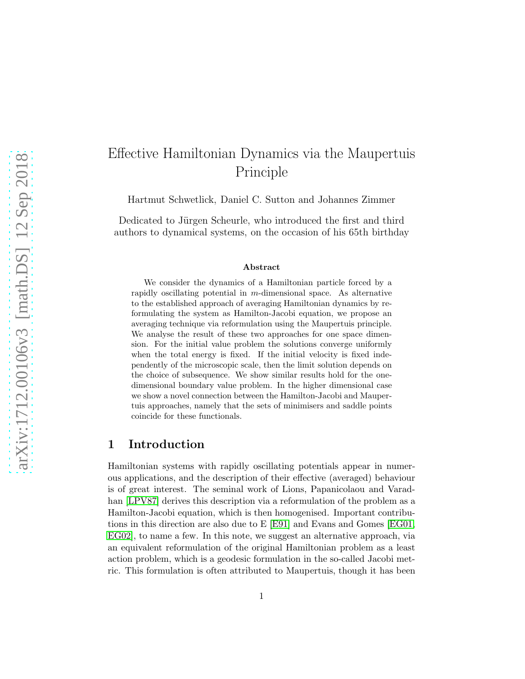# Effective Hamiltonian Dynamics via the Maupertuis Principle

Hartmut Schwetlick, Daniel C. Sutton and Johannes Zimmer

Dedicated to Jürgen Scheurle, who introduced the first and third authors to dynamical systems, on the occasion of his 65th birthday

#### Abstract

We consider the dynamics of a Hamiltonian particle forced by a rapidly oscillating potential in  $m$ -dimensional space. As alternative to the established approach of averaging Hamiltonian dynamics by reformulating the system as Hamilton-Jacobi equation, we propose an averaging technique via reformulation using the Maupertuis principle. We analyse the result of these two approaches for one space dimension. For the initial value problem the solutions converge uniformly when the total energy is fixed. If the initial velocity is fixed independently of the microscopic scale, then the limit solution depends on the choice of subsequence. We show similar results hold for the onedimensional boundary value problem. In the higher dimensional case we show a novel connection between the Hamilton-Jacobi and Maupertuis approaches, namely that the sets of minimisers and saddle points coincide for these functionals.

### 1 Introduction

Hamiltonian systems with rapidly oscillating potentials appear in numerous applications, and the description of their effective (averaged) behaviour is of great interest. The seminal work of Lions, Papanicolaou and Varadhan [\[LPV87\]](#page-20-0) derives this description via a reformulation of the problem as a Hamilton-Jacobi equation, which is then homogenised. Important contributions in this direction are also due to E [\[E91\]](#page-20-1) and Evans and Gomes [\[EG01,](#page-20-2) [EG02\]](#page-20-3), to name a few. In this note, we suggest an alternative approach, via an equivalent reformulation of the original Hamiltonian problem as a least action problem, which is a geodesic formulation in the so-called Jacobi metric. This formulation is often attributed to Maupertuis, though it has been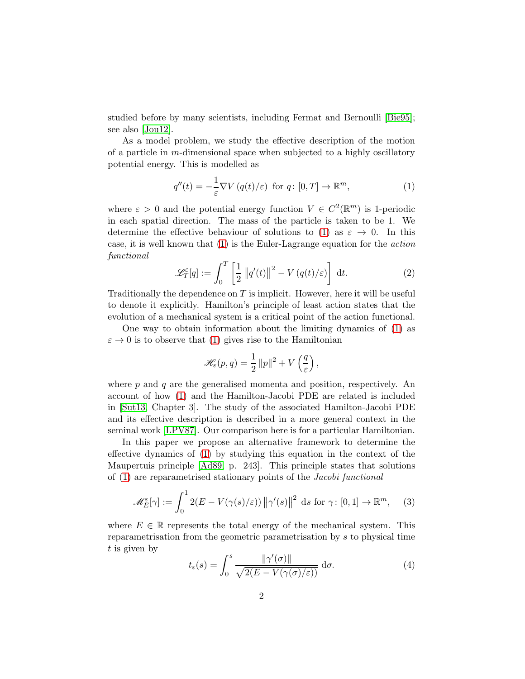studied before by many scientists, including Fermat and Bernoulli [\[Bie95\]](#page-19-0); see also [\[Jou12\]](#page-20-4).

As a model problem, we study the effective description of the motion of a particle in m-dimensional space when subjected to a highly oscillatory potential energy. This is modelled as

<span id="page-1-0"></span>
$$
q''(t) = -\frac{1}{\varepsilon} \nabla V \left( q(t) / \varepsilon \right) \text{ for } q \colon [0, T] \to \mathbb{R}^m,
$$
\n(1)

where  $\varepsilon > 0$  and the potential energy function  $V \in C^2(\mathbb{R}^m)$  is 1-periodic in each spatial direction. The mass of the particle is taken to be 1. We determine the effective behaviour of solutions to [\(1\)](#page-1-0) as  $\varepsilon \to 0$ . In this case, it is well known that [\(1\)](#page-1-0) is the Euler-Lagrange equation for the action functional

<span id="page-1-2"></span>
$$
\mathcal{L}_T^{\varepsilon}[q] := \int_0^T \left[ \frac{1}{2} ||q'(t)||^2 - V(q(t)/\varepsilon) \right] dt.
$$
 (2)

Traditionally the dependence on  $T$  is implicit. However, here it will be useful to denote it explicitly. Hamilton's principle of least action states that the evolution of a mechanical system is a critical point of the action functional.

One way to obtain information about the limiting dynamics of [\(1\)](#page-1-0) as  $\varepsilon \to 0$  is to observe that [\(1\)](#page-1-0) gives rise to the Hamiltonian

$$
\mathscr{H}_{\varepsilon}(p,q) = \frac{1}{2} ||p||^2 + V\left(\frac{q}{\varepsilon}\right),
$$

where  $p$  and  $q$  are the generalised momenta and position, respectively. An account of how [\(1\)](#page-1-0) and the Hamilton-Jacobi PDE are related is included in [\[Sut13,](#page-20-5) Chapter 3]. The study of the associated Hamilton-Jacobi PDE and its effective description is described in a more general context in the seminal work [\[LPV87\]](#page-20-0). Our comparison here is for a particular Hamiltonian.

In this paper we propose an alternative framework to determine the effective dynamics of [\(1\)](#page-1-0) by studying this equation in the context of the Maupertuis principle [\[Ad89,](#page-19-1) p. 243]. This principle states that solutions of [\(1\)](#page-1-0) are reparametrised stationary points of the Jacobi functional

<span id="page-1-1"></span>
$$
\mathscr{M}_E^{\varepsilon}[\gamma] := \int_0^1 2(E - V(\gamma(s)/\varepsilon)) \left\| \gamma'(s) \right\|^2 \, \mathrm{d}s \text{ for } \gamma \colon [0,1] \to \mathbb{R}^m, \quad (3)
$$

where  $E \in \mathbb{R}$  represents the total energy of the mechanical system. This reparametrisation from the geometric parametrisation by s to physical time t is given by

<span id="page-1-3"></span>
$$
t_{\varepsilon}(s) = \int_0^s \frac{\|\gamma'(\sigma)\|}{\sqrt{2(E - V(\gamma(\sigma)/\varepsilon))}} d\sigma.
$$
 (4)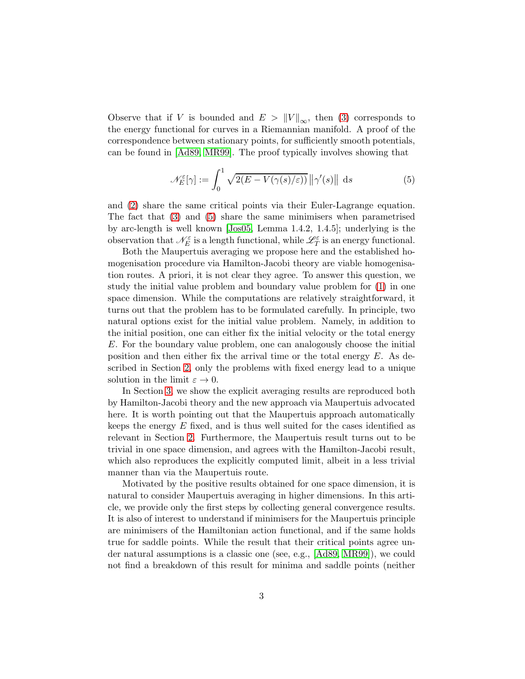Observe that if V is bounded and  $E > ||V||_{\infty}$ , then [\(3\)](#page-1-1) corresponds to the energy functional for curves in a Riemannian manifold. A proof of the correspondence between stationary points, for sufficiently smooth potentials, can be found in [\[Ad89,](#page-19-1) [MR99\]](#page-20-6). The proof typically involves showing that

<span id="page-2-0"></span>
$$
\mathcal{N}_E^{\varepsilon}[\gamma] := \int_0^1 \sqrt{2(E - V(\gamma(s)/\varepsilon))} \, \|\gamma'(s)\| \, \mathrm{d}s \tag{5}
$$

and [\(2\)](#page-1-2) share the same critical points via their Euler-Lagrange equation. The fact that [\(3\)](#page-1-1) and [\(5\)](#page-2-0) share the same minimisers when parametrised by arc-length is well known [\[Jos05,](#page-20-7) Lemma 1.4.2, 1.4.5]; underlying is the observation that  $\mathcal{N}_{E}^{\varepsilon}$  is a length functional, while  $\mathscr{L}_{T}^{\varepsilon}$  is an energy functional.

Both the Maupertuis averaging we propose here and the established homogenisation procedure via Hamilton-Jacobi theory are viable homogenisation routes. A priori, it is not clear they agree. To answer this question, we study the initial value problem and boundary value problem for [\(1\)](#page-1-0) in one space dimension. While the computations are relatively straightforward, it turns out that the problem has to be formulated carefully. In principle, two natural options exist for the initial value problem. Namely, in addition to the initial position, one can either fix the initial velocity or the total energy E. For the boundary value problem, one can analogously choose the initial position and then either fix the arrival time or the total energy  $E$ . As described in Section [2,](#page-3-0) only the problems with fixed energy lead to a unique solution in the limit  $\varepsilon \to 0$ .

In Section [3,](#page-10-0) we show the explicit averaging results are reproduced both by Hamilton-Jacobi theory and the new approach via Maupertuis advocated here. It is worth pointing out that the Maupertuis approach automatically keeps the energy E fixed, and is thus well suited for the cases identified as relevant in Section [2.](#page-3-0) Furthermore, the Maupertuis result turns out to be trivial in one space dimension, and agrees with the Hamilton-Jacobi result, which also reproduces the explicitly computed limit, albeit in a less trivial manner than via the Maupertuis route.

Motivated by the positive results obtained for one space dimension, it is natural to consider Maupertuis averaging in higher dimensions. In this article, we provide only the first steps by collecting general convergence results. It is also of interest to understand if minimisers for the Maupertuis principle are minimisers of the Hamiltonian action functional, and if the same holds true for saddle points. While the result that their critical points agree under natural assumptions is a classic one (see, e.g., [\[Ad89,](#page-19-1) [MR99\]](#page-20-6)), we could not find a breakdown of this result for minima and saddle points (neither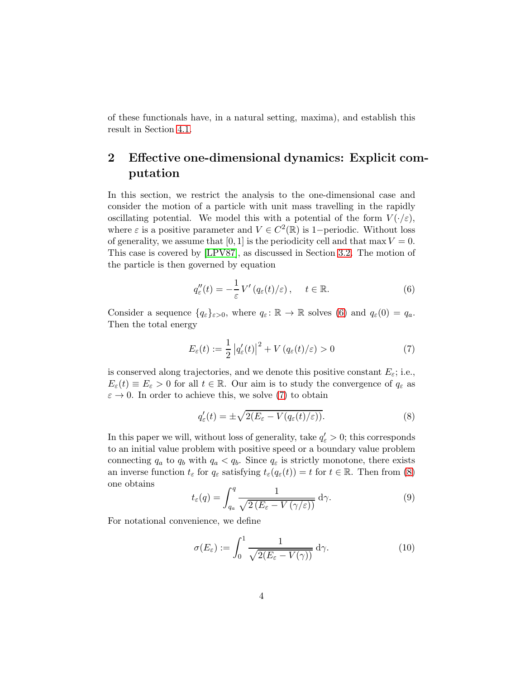of these functionals have, in a natural setting, maxima), and establish this result in Section [4.1.](#page-15-0)

## <span id="page-3-0"></span>2 Effective one-dimensional dynamics: Explicit computation

In this section, we restrict the analysis to the one-dimensional case and consider the motion of a particle with unit mass travelling in the rapidly oscillating potential. We model this with a potential of the form  $V(\cdot/\varepsilon)$ , where  $\varepsilon$  is a positive parameter and  $V \in C^2(\mathbb{R})$  is 1-periodic. Without loss of generality, we assume that [0, 1] is the periodicity cell and that max  $V = 0$ . This case is covered by [\[LPV87\]](#page-20-0), as discussed in Section [3.2.](#page-10-1) The motion of the particle is then governed by equation

<span id="page-3-1"></span>
$$
q_{\varepsilon}''(t) = -\frac{1}{\varepsilon} V'(q_{\varepsilon}(t)/\varepsilon), \quad t \in \mathbb{R}.
$$
 (6)

Consider a sequence  $\{q_{\varepsilon}\}_{{\varepsilon}>0}$ , where  $q_{\varepsilon} : \mathbb{R} \to \mathbb{R}$  solves [\(6\)](#page-3-1) and  $q_{\varepsilon}(0) = q_a$ . Then the total energy

<span id="page-3-2"></span>
$$
E_{\varepsilon}(t) := \frac{1}{2} \left| q_{\varepsilon}'(t) \right|^2 + V \left( q_{\varepsilon}(t) / \varepsilon \right) > 0 \tag{7}
$$

is conserved along trajectories, and we denote this positive constant  $E_{\varepsilon}$ ; i.e.,  $E_{\varepsilon}(t) \equiv E_{\varepsilon} > 0$  for all  $t \in \mathbb{R}$ . Our aim is to study the convergence of  $q_{\varepsilon}$  as  $\varepsilon \to 0$ . In order to achieve this, we solve [\(7\)](#page-3-2) to obtain

<span id="page-3-3"></span>
$$
q'_{\varepsilon}(t) = \pm \sqrt{2(E_{\varepsilon} - V(q_{\varepsilon}(t)/\varepsilon))}.
$$
\n(8)

In this paper we will, without loss of generality, take  $q'_{\varepsilon} > 0$ ; this corresponds to an initial value problem with positive speed or a boundary value problem connecting  $q_a$  to  $q_b$  with  $q_a < q_b$ . Since  $q_\varepsilon$  is strictly monotone, there exists an inverse function  $t_{\varepsilon}$  for  $q_{\varepsilon}$  satisfying  $t_{\varepsilon}(q_{\varepsilon}(t)) = t$  for  $t \in \mathbb{R}$ . Then from [\(8\)](#page-3-3) one obtains

<span id="page-3-4"></span>
$$
t_{\varepsilon}(q) = \int_{q_a}^{q} \frac{1}{\sqrt{2(E_{\varepsilon} - V(\gamma/\varepsilon))}} d\gamma.
$$
 (9)

For notational convenience, we define

<span id="page-3-5"></span>
$$
\sigma(E_{\varepsilon}) := \int_0^1 \frac{1}{\sqrt{2(E_{\varepsilon} - V(\gamma))}} d\gamma.
$$
 (10)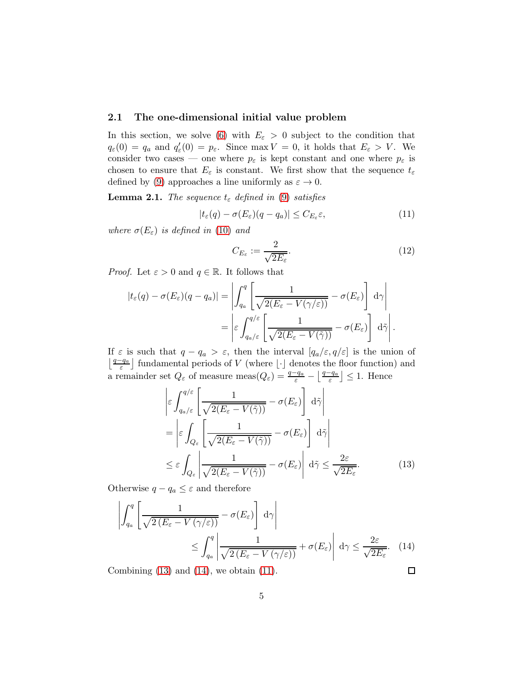#### <span id="page-4-5"></span>2.1 The one-dimensional initial value problem

In this section, we solve [\(6\)](#page-3-1) with  $E_{\varepsilon} > 0$  subject to the condition that  $q_{\varepsilon}(0) = q_a$  and  $q'_{\varepsilon}$  $l'_{\varepsilon}(0) = p_{\varepsilon}$ . Since max  $V = 0$ , it holds that  $E_{\varepsilon} > V$ . We consider two cases — one where  $p_{\varepsilon}$  is kept constant and one where  $p_{\varepsilon}$  is chosen to ensure that  $E_{\varepsilon}$  is constant. We first show that the sequence  $t_{\varepsilon}$ defined by [\(9\)](#page-3-4) approaches a line uniformly as  $\varepsilon \to 0$ .

<span id="page-4-4"></span>**Lemma 2.1.** The sequence  $t_{\varepsilon}$  defined in [\(9\)](#page-3-4) satisfies

<span id="page-4-2"></span>
$$
|t_{\varepsilon}(q) - \sigma(E_{\varepsilon})(q - q_a)| \leq C_{E_{\varepsilon}} \varepsilon, \tag{11}
$$

where  $\sigma(E_{\varepsilon})$  is defined in [\(10\)](#page-3-5) and

<span id="page-4-3"></span>
$$
C_{E_{\varepsilon}} := \frac{2}{\sqrt{2E_{\varepsilon}}}.\tag{12}
$$

*Proof.* Let  $\varepsilon > 0$  and  $q \in \mathbb{R}$ . It follows that

$$
|t_{\varepsilon}(q) - \sigma(E_{\varepsilon})(q - q_{a})| = \left| \int_{q_{a}}^{q} \left[ \frac{1}{\sqrt{2(E_{\varepsilon} - V(\gamma/\varepsilon))}} - \sigma(E_{\varepsilon}) \right] d\gamma \right|
$$
  
= 
$$
\left| \varepsilon \int_{q_{a}/\varepsilon}^{q/\varepsilon} \left[ \frac{1}{\sqrt{2(E_{\varepsilon} - V(\tilde{\gamma}))}} - \sigma(E_{\varepsilon}) \right] d\tilde{\gamma} \right|.
$$

If  $\varepsilon$  is such that  $q - q_a > \varepsilon$ , then the interval  $[q_a/\varepsilon, q/\varepsilon]$  is the union of  $\lfloor \frac{q-q_a}{\varepsilon} \rfloor$  fundamental periods of V (where  $\lfloor \cdot \rfloor$  denotes the floor function) and a remainder set  $Q_{\varepsilon}$  of measure meas $(Q_{\varepsilon}) = \frac{q-q_a}{\varepsilon} - \left[\frac{q-q_a}{\varepsilon}\right]$  $\left[\frac{-q_a}{\varepsilon}\right] \leq 1$ . Hence

$$
\begin{aligned}\n\left| \varepsilon \int_{q_a/\varepsilon}^{q/\varepsilon} \left[ \frac{1}{\sqrt{2(E_\varepsilon - V(\tilde{\gamma}))}} - \sigma(E_\varepsilon) \right] d\tilde{\gamma} \right| \\
&= \left| \varepsilon \int_{Q_\varepsilon} \left[ \frac{1}{\sqrt{2(E_\varepsilon - V(\tilde{\gamma}))}} - \sigma(E_\varepsilon) \right] d\tilde{\gamma} \right| \\
&\leq \varepsilon \int_{Q_\varepsilon} \left| \frac{1}{\sqrt{2(E_\varepsilon - V(\tilde{\gamma}))}} - \sigma(E_\varepsilon) \right| d\tilde{\gamma} \leq \frac{2\varepsilon}{\sqrt{2E_\varepsilon}}.\n\end{aligned} \tag{13}
$$

Otherwise  $q - q_a \leq \varepsilon$  and therefore

$$
\left| \int_{q_a}^{q} \left[ \frac{1}{\sqrt{2(E_{\varepsilon} - V(\gamma/\varepsilon))}} - \sigma(E_{\varepsilon}) \right] d\gamma \right|
$$
  

$$
\leq \int_{q_a}^{q} \left| \frac{1}{\sqrt{2(E_{\varepsilon} - V(\gamma/\varepsilon))}} + \sigma(E_{\varepsilon}) \right| d\gamma \leq \frac{2\varepsilon}{\sqrt{2E_{\varepsilon}}}.
$$
 (14)  
combining (13) and (14), we obtain (11).

Combining  $(13)$  and  $(14)$ , we obtain  $(11)$ .

<span id="page-4-1"></span><span id="page-4-0"></span>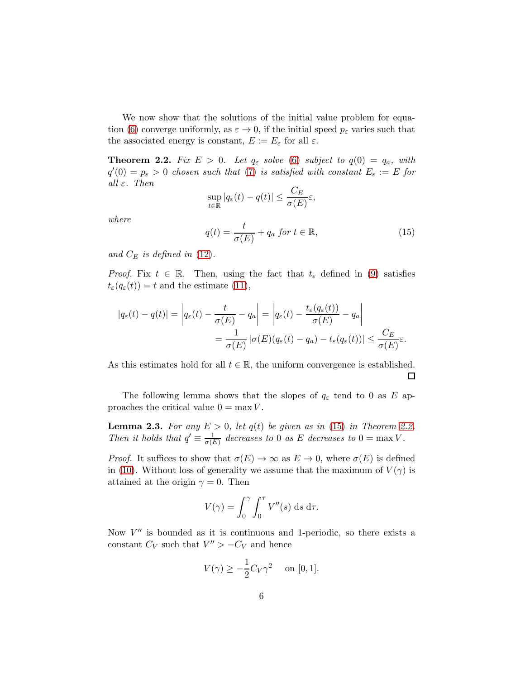We now show that the solutions of the initial value problem for equa-tion [\(6\)](#page-3-1) converge uniformly, as  $\varepsilon \to 0$ , if the initial speed  $p_{\varepsilon}$  varies such that the associated energy is constant,  $E := E_{\varepsilon}$  for all  $\varepsilon$ .

<span id="page-5-1"></span>**Theorem 2.2.** Fix  $E > 0$ . Let  $q_{\varepsilon}$  solve [\(6\)](#page-3-1) subject to  $q(0) = q_a$ , with  $q'(0) = p_{\varepsilon} > 0$  chosen such that [\(7\)](#page-3-2) is satisfied with constant  $E_{\varepsilon} := E$  for all  $\varepsilon$ . Then

<span id="page-5-0"></span>
$$
\sup_{t \in \mathbb{R}} |q_{\varepsilon}(t) - q(t)| \le \frac{C_E}{\sigma(E)} \varepsilon,
$$
  

$$
q(t) = \frac{t}{\sigma(E)} + q_a \text{ for } t \in \mathbb{R},
$$
 (15)

where

and 
$$
C_E
$$
 is defined in (12).

*Proof.* Fix  $t \in \mathbb{R}$ . Then, using the fact that  $t_{\varepsilon}$  defined in [\(9\)](#page-3-4) satisfies  $t_{\varepsilon}(q_{\varepsilon}(t)) = t$  and the estimate [\(11\)](#page-4-2),

$$
|q_{\varepsilon}(t) - q(t)| = \left| q_{\varepsilon}(t) - \frac{t}{\sigma(E)} - q_a \right| = \left| q_{\varepsilon}(t) - \frac{t_{\varepsilon}(q_{\varepsilon}(t))}{\sigma(E)} - q_a \right|
$$
  
= 
$$
\frac{1}{\sigma(E)} |\sigma(E)(q_{\varepsilon}(t) - q_a) - t_{\varepsilon}(q_{\varepsilon}(t))| \leq \frac{C_E}{\sigma(E)} \varepsilon.
$$

As this estimates hold for all  $t \in \mathbb{R}$ , the uniform convergence is established.

The following lemma shows that the slopes of  $q_{\varepsilon}$  tend to 0 as E approaches the critical value  $0 = \max V$ .

<span id="page-5-2"></span>**Lemma 2.3.** For any  $E > 0$ , let  $q(t)$  be given as in [\(15\)](#page-5-0) in Theorem [2.2.](#page-5-1) Then it holds that  $q' \equiv \frac{1}{\sigma(l)}$  $\frac{1}{\sigma(E)}$  decreases to 0 as E decreases to 0 = max V.

*Proof.* It suffices to show that  $\sigma(E) \to \infty$  as  $E \to 0$ , where  $\sigma(E)$  is defined in [\(10\)](#page-3-5). Without loss of generality we assume that the maximum of  $V(\gamma)$  is attained at the origin  $\gamma = 0$ . Then

$$
V(\gamma) = \int_0^{\gamma} \int_0^{\tau} V''(s) \, \mathrm{d} s \, \mathrm{d} \tau.
$$

Now  $V''$  is bounded as it is continuous and 1-periodic, so there exists a constant  $C_V$  such that  $V'' > -C_V$  and hence

$$
V(\gamma) \ge -\frac{1}{2}C_V\gamma^2 \quad \text{on } [0,1].
$$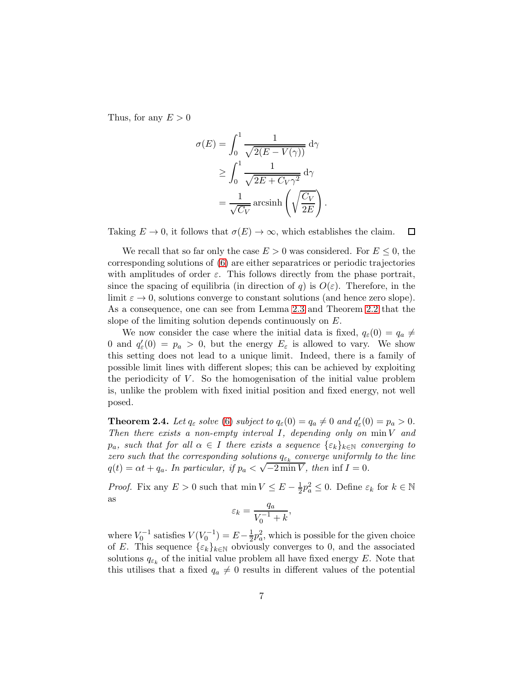Thus, for any  $E > 0$ 

$$
\sigma(E) = \int_0^1 \frac{1}{\sqrt{2(E - V(\gamma))}} d\gamma
$$
  
\n
$$
\geq \int_0^1 \frac{1}{\sqrt{2E + C_V \gamma^2}} d\gamma
$$
  
\n
$$
= \frac{1}{\sqrt{C_V}} \operatorname{arcsinh}\left(\sqrt{\frac{C_V}{2E}}\right).
$$

Taking  $E \to 0$ , it follows that  $\sigma(E) \to \infty$ , which establishes the claim.  $\Box$ 

We recall that so far only the case  $E > 0$  was considered. For  $E \leq 0$ , the corresponding solutions of [\(6\)](#page-3-1) are either separatrices or periodic trajectories with amplitudes of order  $\varepsilon$ . This follows directly from the phase portrait, since the spacing of equilibria (in direction of q) is  $O(\varepsilon)$ . Therefore, in the limit  $\varepsilon \to 0$ , solutions converge to constant solutions (and hence zero slope). As a consequence, one can see from Lemma [2.3](#page-5-2) and Theorem [2.2](#page-5-1) that the slope of the limiting solution depends continuously on E.

We now consider the case where the initial data is fixed,  $q_{\varepsilon}(0) = q_a \neq$ 0 and  $q'_{\varepsilon}(0) = p_a > 0$ , but the energy  $E_{\varepsilon}$  is allowed to vary. We show this setting does not lead to a unique limit. Indeed, there is a family of possible limit lines with different slopes; this can be achieved by exploiting the periodicity of  $V$ . So the homogenisation of the initial value problem is, unlike the problem with fixed initial position and fixed energy, not well posed.

<span id="page-6-0"></span>**Theorem 2.4.** Let  $q_{\varepsilon}$  solve [\(6\)](#page-3-1) subject to  $q_{\varepsilon}(0) = q_a \neq 0$  and  $q'_{\varepsilon}$  $e'_{\varepsilon}(0)=p_a>0.$ Then there exists a non-empty interval  $I$ , depending only on  $\min V$  and  $p_a$ , such that for all  $\alpha \in I$  there exists a sequence  $\{\varepsilon_k\}_{k\in\mathbb{N}}$  converging to zero such that the corresponding solutions  $q_{\varepsilon_k}$  converge uniformly to the line  $q(t) = \alpha t + q_a$ . In particular, if  $p_a < \sqrt{-2 \min V}$ , then  $\inf I = 0$ .

*Proof.* Fix any  $E > 0$  such that  $\min V \le E - \frac{1}{2}p_a^2 \le 0$ . Define  $\varepsilon_k$  for  $k \in \mathbb{N}$ as

$$
\varepsilon_k = \frac{q_a}{V_0^{-1} + k},
$$

where  $V_0^{-1}$  satisfies  $V(V_0^{-1}) = E - \frac{1}{2}$  $\frac{1}{2}p_a^2$ , which is possible for the given choice of E. This sequence  $\{\varepsilon_k\}_{k\in\mathbb{N}}$  obviously converges to 0, and the associated solutions  $q_{\varepsilon_k}$  of the initial value problem all have fixed energy E. Note that this utilises that a fixed  $q_a \neq 0$  results in different values of the potential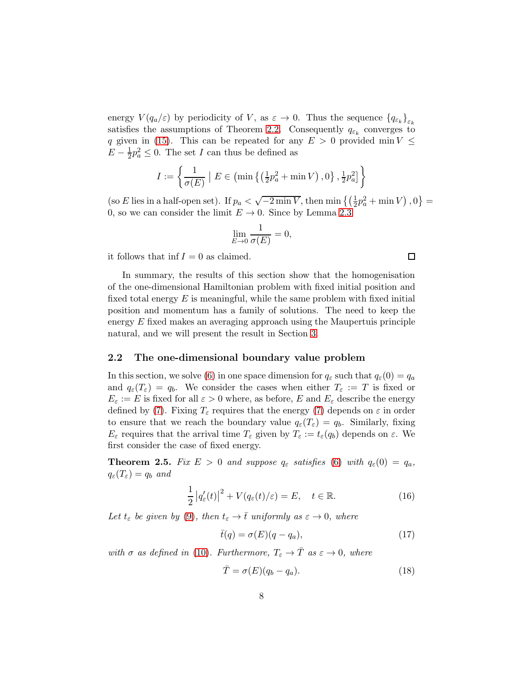energy  $V(q_a/\varepsilon)$  by periodicity of V, as  $\varepsilon \to 0$ . Thus the sequence  ${q_{\varepsilon_k}}_{\varepsilon_k}$ satisfies the assumptions of Theorem [2.2.](#page-5-1) Consequently  $q_{\varepsilon_k}$  converges to q given in [\(15\)](#page-5-0). This can be repeated for any  $E > 0$  provided min  $V \leq$  $E-\frac{1}{2}$  $\frac{1}{2}p_a^2 \leq 0$ . The set I can thus be defined as

$$
I := \left\{ \frac{1}{\sigma(E)} \mid E \in \left( \min \left\{ \left( \frac{1}{2} p_a^2 + \min V \right), 0 \right\}, \frac{1}{2} p_a^2 \right] \right\}
$$

(so E lies in a half-open set). If  $p_a < \sqrt{-2 \min V}$ , then  $\min \{(\frac{1}{2}p_a^2 + \min V), 0\}$ 0, so we can consider the limit  $E \to 0$ . Since by Lemma [2.3](#page-5-2)

$$
\lim_{E \to 0} \frac{1}{\sigma(E)} = 0,
$$

it follows that inf  $I = 0$  as claimed.

In summary, the results of this section show that the homogenisation of the one-dimensional Hamiltonian problem with fixed initial position and fixed total energy  $E$  is meaningful, while the same problem with fixed initial position and momentum has a family of solutions. The need to keep the energy E fixed makes an averaging approach using the Maupertuis principle natural, and we will present the result in Section [3.](#page-10-0)

#### <span id="page-7-3"></span>2.2 The one-dimensional boundary value problem

In this section, we solve [\(6\)](#page-3-1) in one space dimension for  $q_{\varepsilon}$  such that  $q_{\varepsilon}(0) = q_a$ and  $q_{\varepsilon}(T_{\varepsilon}) = q_b$ . We consider the cases when either  $T_{\varepsilon} := T$  is fixed or  $E_{\varepsilon} := E$  is fixed for all  $\varepsilon > 0$  where, as before, E and  $E_{\varepsilon}$  describe the energy defined by [\(7\)](#page-3-2). Fixing  $T_{\varepsilon}$  requires that the energy (7) depends on  $\varepsilon$  in order to ensure that we reach the boundary value  $q_{\varepsilon}(T_{\varepsilon}) = q_b$ . Similarly, fixing  $E_{\varepsilon}$  requires that the arrival time  $T_{\varepsilon}$  given by  $T_{\varepsilon} := t_{\varepsilon}(q_b)$  depends on  $\varepsilon$ . We first consider the case of fixed energy.

<span id="page-7-1"></span>**Theorem 2.5.** Fix  $E > 0$  and suppose  $q_{\varepsilon}$  satisfies [\(6\)](#page-3-1) with  $q_{\varepsilon}(0) = q_a$ ,  $q_{\varepsilon}(T_{\varepsilon}) = q_b$  and

<span id="page-7-0"></span>
$$
\frac{1}{2}|q'_{\varepsilon}(t)|^2 + V(q_{\varepsilon}(t)/\varepsilon) = E, \quad t \in \mathbb{R}.
$$
 (16)

Let  $t_{\varepsilon}$  be given by [\(9\)](#page-3-4), then  $t_{\varepsilon} \to \overline{t}$  uniformly as  $\varepsilon \to 0$ , where

<span id="page-7-2"></span>
$$
\bar{t}(q) = \sigma(E)(q - q_a),\tag{17}
$$

with  $\sigma$  as defined in [\(10\)](#page-3-5). Furthermore,  $T_{\varepsilon} \to \overline{T}$  as  $\varepsilon \to 0$ , where

$$
\bar{T} = \sigma(E)(q_b - q_a). \tag{18}
$$

 $\Box$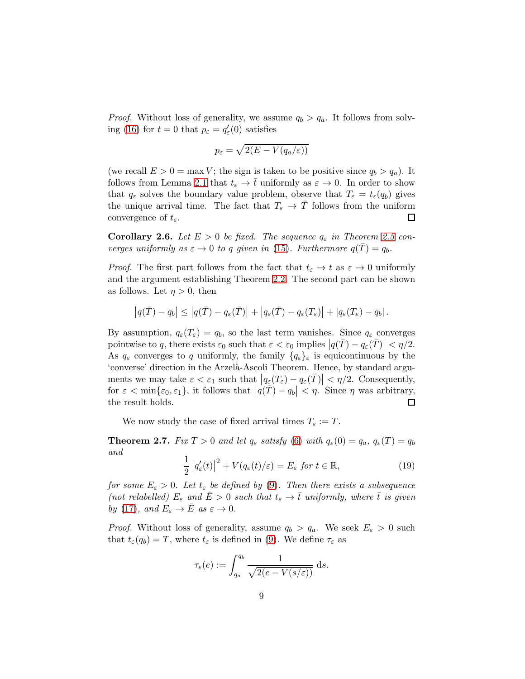*Proof.* Without loss of generality, we assume  $q_b > q_a$ . It follows from solv-ing [\(16\)](#page-7-0) for  $t = 0$  that  $p_{\varepsilon} = q'_{\varepsilon}(0)$  satisfies

$$
p_{\varepsilon} = \sqrt{2(E - V(q_a/\varepsilon))}
$$

(we recall  $E > 0 = \max V$ ; the sign is taken to be positive since  $q_b > q_a$ ). It follows from Lemma [2.1](#page-4-4) that  $t_{\varepsilon} \to \overline{t}$  uniformly as  $\varepsilon \to 0$ . In order to show that  $q_{\varepsilon}$  solves the boundary value problem, observe that  $T_{\varepsilon} = t_{\varepsilon}(q_b)$  gives the unique arrival time. The fact that  $T_{\varepsilon} \to T$  follows from the uniform convergence of  $t_{\varepsilon}$ . convergence of  $t_{\varepsilon}$ .

<span id="page-8-1"></span>**Corollary 2.6.** Let  $E > 0$  be fixed. The sequence  $q_{\varepsilon}$  in Theorem [2.5](#page-7-1) converges uniformly as  $\varepsilon \to 0$  to q given in [\(15\)](#page-5-0). Furthermore  $q(T) = q_b$ .

*Proof.* The first part follows from the fact that  $t_{\varepsilon} \to t$  as  $\varepsilon \to 0$  uniformly and the argument establishing Theorem [2.2.](#page-5-1) The second part can be shown as follows. Let  $\eta > 0$ , then

$$
\left|q(\overline{T})-q_b\right| \leq \left|q(\overline{T})-q_{\varepsilon}(\overline{T})\right| + \left|q_{\varepsilon}(\overline{T})-q_{\varepsilon}(T_{\varepsilon})\right| + \left|q_{\varepsilon}(T_{\varepsilon})-q_b\right|.
$$

By assumption,  $q_{\varepsilon}(T_{\varepsilon}) = q_b$ , so the last term vanishes. Since  $q_{\varepsilon}$  converges pointwise to q, there exists  $\varepsilon_0$  such that  $\varepsilon < \varepsilon_0$  implies  $|q(\bar{T}) - q_{\varepsilon}(\bar{T})| < \eta/2$ . As  $q_{\varepsilon}$  converges to q uniformly, the family  $\{q_{\varepsilon}\}_\varepsilon$  is equicontinuous by the 'converse' direction in the Arzelà-Ascoli Theorem. Hence, by standard arguments we may take  $\varepsilon < \varepsilon_1$  such that  $|q_\varepsilon(T_\varepsilon) - q_\varepsilon(\bar{T})| < \eta/2$ . Consequently, for  $\varepsilon < \min\{\varepsilon_0, \varepsilon_1\}$ , it follows that  $|q(\bar{T}) - q_b| < \eta$ . Since  $\eta$  was arbitrary, the result holds.

We now study the case of fixed arrival times  $T_{\varepsilon} := T$ .

<span id="page-8-0"></span>**Theorem 2.7.** Fix  $T > 0$  and let  $q_{\varepsilon}$  satisfy [\(6\)](#page-3-1) with  $q_{\varepsilon}(0) = q_a$ ,  $q_{\varepsilon}(T) = q_b$ and

$$
\frac{1}{2}|q'_{\varepsilon}(t)|^2 + V(q_{\varepsilon}(t)/\varepsilon) = E_{\varepsilon} \text{ for } t \in \mathbb{R},
$$
\n(19)

for some  $E_{\varepsilon} > 0$ . Let  $t_{\varepsilon}$  be defined by [\(9\)](#page-3-4). Then there exists a subsequence (not relabelled)  $E_{\varepsilon}$  and  $E > 0$  such that  $t_{\varepsilon} \to \overline{t}$  uniformly, where  $\overline{t}$  is given by [\(17\)](#page-7-2), and  $E_{\varepsilon} \to \bar{E}$  as  $\varepsilon \to 0$ .

*Proof.* Without loss of generality, assume  $q_b > q_a$ . We seek  $E_\varepsilon > 0$  such that  $t_{\varepsilon}(q_b) = T$ , where  $t_{\varepsilon}$  is defined in [\(9\)](#page-3-4). We define  $\tau_{\varepsilon}$  as

$$
\tau_{\varepsilon}(e) := \int_{q_a}^{q_b} \frac{1}{\sqrt{2(e - V(s/\varepsilon))}} ds.
$$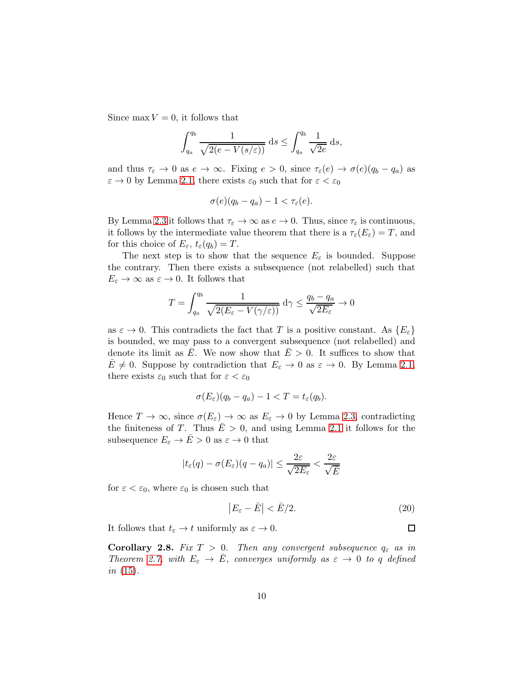Since max  $V = 0$ , it follows that

$$
\int_{q_a}^{q_b} \frac{1}{\sqrt{2(e - V(s/\varepsilon))}} ds \le \int_{q_a}^{q_b} \frac{1}{\sqrt{2e}} ds,
$$

and thus  $\tau_{\varepsilon} \to 0$  as  $e \to \infty$ . Fixing  $e > 0$ , since  $\tau_{\varepsilon}(e) \to \sigma(e)(q_b - q_a)$  as  $\varepsilon \to 0$  by Lemma [2.1,](#page-4-4) there exists  $\varepsilon_0$  such that for  $\varepsilon < \varepsilon_0$ 

$$
\sigma(e)(q_b-q_a)-1<\tau_{\varepsilon}(e).
$$

By Lemma [2.3](#page-5-2) it follows that  $\tau_{\varepsilon} \to \infty$  as  $e \to 0$ . Thus, since  $\tau_{\varepsilon}$  is continuous, it follows by the intermediate value theorem that there is a  $\tau_{\varepsilon}(E_{\varepsilon}) = T$ , and for this choice of  $E_{\varepsilon}$ ,  $t_{\varepsilon}(q_b) = T$ .

The next step is to show that the sequence  $E_{\varepsilon}$  is bounded. Suppose the contrary. Then there exists a subsequence (not relabelled) such that  $E_{\varepsilon} \to \infty$  as  $\varepsilon \to 0$ . It follows that

$$
T = \int_{q_a}^{q_b} \frac{1}{\sqrt{2(E_{\varepsilon} - V(\gamma/\varepsilon))}} d\gamma \le \frac{q_b - q_a}{\sqrt{2E_{\varepsilon}}} \to 0
$$

as  $\varepsilon \to 0$ . This contradicts the fact that T is a positive constant. As  $\{E_{\varepsilon}\}\)$ is bounded, we may pass to a convergent subsequence (not relabelled) and denote its limit as E. We now show that  $E > 0$ . It suffices to show that  $E \neq 0$ . Suppose by contradiction that  $E_{\varepsilon} \to 0$  as  $\varepsilon \to 0$ . By Lemma [2.1,](#page-4-4) there exists  $\varepsilon_0$  such that for  $\varepsilon < \varepsilon_0$ 

$$
\sigma(E_{\varepsilon})(q_b-q_a)-1
$$

Hence  $T \to \infty$ , since  $\sigma(E_{\varepsilon}) \to \infty$  as  $E_{\varepsilon} \to 0$  by Lemma [2.3,](#page-5-2) contradicting the finiteness of T. Thus  $E > 0$ , and using Lemma [2.1](#page-4-4) it follows for the subsequence  $E_{\varepsilon} \to \bar{E} > 0$  as  $\varepsilon \to 0$  that

$$
|t_{\varepsilon}(q) - \sigma(E_{\varepsilon})(q - q_a)| \leq \frac{2\varepsilon}{\sqrt{2E_{\varepsilon}}} < \frac{2\varepsilon}{\sqrt{\bar{E}}}
$$

for  $\varepsilon < \varepsilon_0$ , where  $\varepsilon_0$  is chosen such that

<span id="page-9-0"></span>
$$
\left|E_{\varepsilon}-\bar{E}\right|<\bar{E}/2.\tag{20}
$$

 $\Box$ 

It follows that  $t_{\varepsilon} \to t$  uniformly as  $\varepsilon \to 0$ .

**Corollary 2.8.** Fix  $T > 0$ . Then any convergent subsequence  $q_{\varepsilon}$  as in Theorem [2.7,](#page-8-0) with  $E_{\varepsilon} \to \bar{E}$ , converges uniformly as  $\varepsilon \to 0$  to q defined *in*  $(15)$ .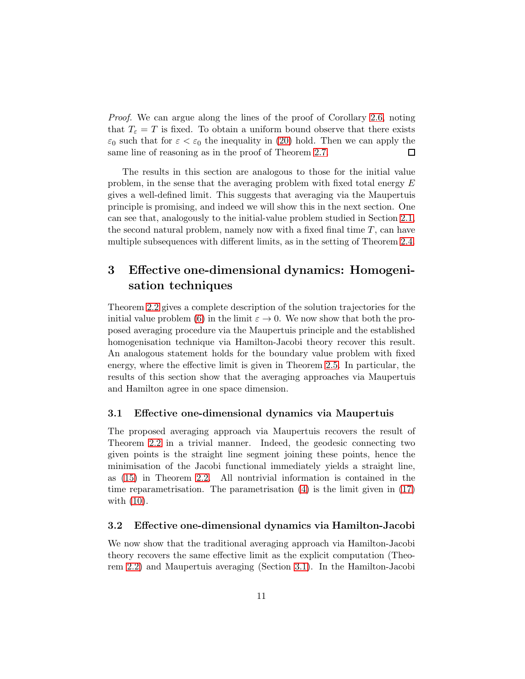Proof. We can argue along the lines of the proof of Corollary [2.6,](#page-8-1) noting that  $T_{\varepsilon} = T$  is fixed. To obtain a uniform bound observe that there exists  $\varepsilon_0$  such that for  $\varepsilon < \varepsilon_0$  the inequality in [\(20\)](#page-9-0) hold. Then we can apply the same line of reasoning as in the proof of Theorem [2.7.](#page-8-0) 口

The results in this section are analogous to those for the initial value problem, in the sense that the averaging problem with fixed total energy E gives a well-defined limit. This suggests that averaging via the Maupertuis principle is promising, and indeed we will show this in the next section. One can see that, analogously to the initial-value problem studied in Section [2.1,](#page-4-5) the second natural problem, namely now with a fixed final time  $T$ , can have multiple subsequences with different limits, as in the setting of Theorem [2.4.](#page-6-0)

## <span id="page-10-0"></span>3 Effective one-dimensional dynamics: Homogenisation techniques

Theorem [2.2](#page-5-1) gives a complete description of the solution trajectories for the initial value problem [\(6\)](#page-3-1) in the limit  $\varepsilon \to 0$ . We now show that both the proposed averaging procedure via the Maupertuis principle and the established homogenisation technique via Hamilton-Jacobi theory recover this result. An analogous statement holds for the boundary value problem with fixed energy, where the effective limit is given in Theorem [2.5.](#page-7-1) In particular, the results of this section show that the averaging approaches via Maupertuis and Hamilton agree in one space dimension.

#### <span id="page-10-2"></span>3.1 Effective one-dimensional dynamics via Maupertuis

The proposed averaging approach via Maupertuis recovers the result of Theorem [2.2](#page-5-1) in a trivial manner. Indeed, the geodesic connecting two given points is the straight line segment joining these points, hence the minimisation of the Jacobi functional immediately yields a straight line, as [\(15\)](#page-5-0) in Theorem [2.2.](#page-5-1) All nontrivial information is contained in the time reparametrisation. The parametrisation [\(4\)](#page-1-3) is the limit given in [\(17\)](#page-7-2) with [\(10\)](#page-3-5).

#### <span id="page-10-1"></span>3.2 Effective one-dimensional dynamics via Hamilton-Jacobi

We now show that the traditional averaging approach via Hamilton-Jacobi theory recovers the same effective limit as the explicit computation (Theorem [2.2\)](#page-5-1) and Maupertuis averaging (Section [3.1\)](#page-10-2). In the Hamilton-Jacobi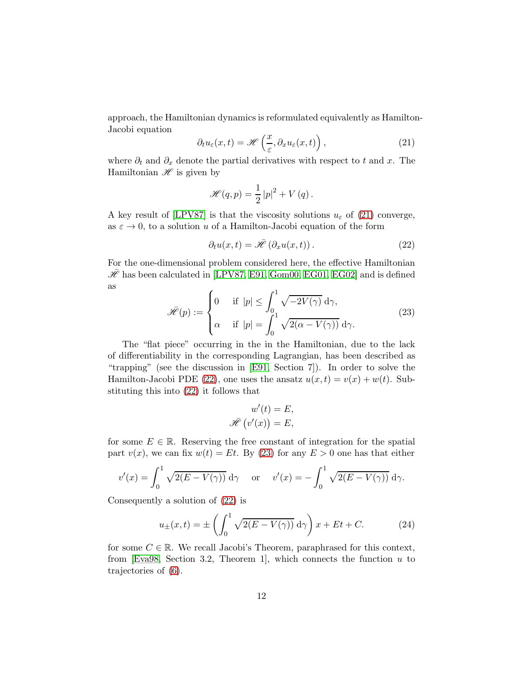approach, the Hamiltonian dynamics is reformulated equivalently as Hamilton-Jacobi equation

<span id="page-11-0"></span>
$$
\partial_t u_{\varepsilon}(x,t) = \mathcal{H}\left(\frac{x}{\varepsilon}, \partial_x u_{\varepsilon}(x,t)\right),\tag{21}
$$

where  $\partial_t$  and  $\partial_x$  denote the partial derivatives with respect to t and x. The Hamiltonian  $\mathscr H$  is given by

$$
\mathscr{H}(q,p) = \frac{1}{2}|p|^2 + V(q).
$$

A key result of [\[LPV87\]](#page-20-0) is that the viscosity solutions  $u_{\varepsilon}$  of [\(21\)](#page-11-0) converge, as  $\varepsilon \to 0$ , to a solution u of a Hamilton-Jacobi equation of the form

<span id="page-11-1"></span>
$$
\partial_t u(x,t) = \tilde{\mathcal{H}}\left(\partial_x u(x,t)\right). \tag{22}
$$

For the one-dimensional problem considered here, the effective Hamiltonian  $\mathcal{\bar{H}}$  has been calculated in [\[LPV87,](#page-20-0) [E91,](#page-20-1) [Gom00,](#page-20-8) [EG01,](#page-20-2) [EG02\]](#page-20-3) and is defined as

<span id="page-11-2"></span>
$$
\tilde{\mathcal{H}}(p) := \begin{cases} 0 & \text{if } |p| \le \int_0^1 \sqrt{-2V(\gamma)} \, d\gamma, \\ \alpha & \text{if } |p| = \int_0^1 \sqrt{2(\alpha - V(\gamma))} \, d\gamma. \end{cases} \tag{23}
$$

The "flat piece" occurring in the in the Hamiltonian, due to the lack of differentiability in the corresponding Lagrangian, has been described as "trapping" (see the discussion in [\[E91,](#page-20-1) Section 7]). In order to solve the Hamilton-Jacobi PDE [\(22\)](#page-11-1), one uses the ansatz  $u(x,t) = v(x) + w(t)$ . Substituting this into [\(22\)](#page-11-1) it follows that

$$
w'(t) = E,
$$
  

$$
\bar{\mathcal{H}}(v'(x)) = E,
$$

for some  $E \in \mathbb{R}$ . Reserving the free constant of integration for the spatial part  $v(x)$ , we can fix  $w(t) = Et$ . By [\(23\)](#page-11-2) for any  $E > 0$  one has that either

$$
v'(x) = \int_0^1 \sqrt{2(E - V(\gamma))} \, d\gamma \quad \text{or} \quad v'(x) = -\int_0^1 \sqrt{2(E - V(\gamma))} \, d\gamma.
$$

Consequently a solution of [\(22\)](#page-11-1) is

$$
u_{\pm}(x,t) = \pm \left(\int_0^1 \sqrt{2(E - V(\gamma))} \, d\gamma\right) x + Et + C. \tag{24}
$$

for some  $C \in \mathbb{R}$ . We recall Jacobi's Theorem, paraphrased for this context, from [\[Eva98,](#page-20-9) Section 3.2, Theorem 1], which connects the function  $u$  to trajectories of [\(6\)](#page-3-1).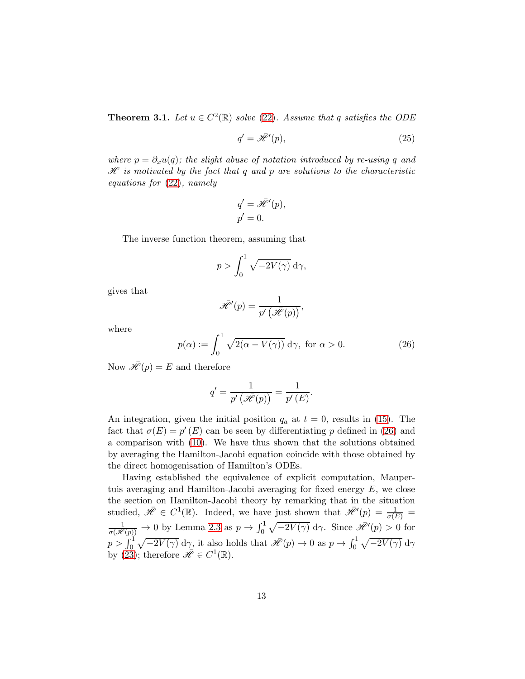**Theorem 3.1.** Let  $u \in C^2(\mathbb{R})$  solve [\(22\)](#page-11-1). Assume that q satisfies the ODE

$$
q' = \tilde{\mathcal{H}}'(p),\tag{25}
$$

where  $p = \partial_x u(q)$ ; the slight abuse of notation introduced by re-using q and  $\mathscr H$  is motivated by the fact that q and p are solutions to the characteristic equations for [\(22\)](#page-11-1), namely

$$
q' = \bar{\mathcal{H}}'(p),
$$
  

$$
p' = 0.
$$

The inverse function theorem, assuming that

$$
p > \int_0^1 \sqrt{-2V(\gamma)} \, \mathrm{d}\gamma,
$$

gives that

$$
\bar{\mathscr{H}}'(p) = \frac{1}{p'(\bar{\mathscr{H}}(p))},
$$

where

<span id="page-12-0"></span>
$$
p(\alpha) := \int_0^1 \sqrt{2(\alpha - V(\gamma))} \, d\gamma, \text{ for } \alpha > 0.
$$
 (26)

Now  $\bar{\mathscr{H}}(p) = E$  and therefore

$$
q' = \frac{1}{p'\left(\bar{\mathscr{H}}(p)\right)} = \frac{1}{p'\left(E\right)}.
$$

An integration, given the initial position  $q_a$  at  $t = 0$ , results in [\(15\)](#page-5-0). The fact that  $\sigma(E) = p'(E)$  can be seen by differentiating p defined in [\(26\)](#page-12-0) and a comparison with [\(10\)](#page-3-5). We have thus shown that the solutions obtained by averaging the Hamilton-Jacobi equation coincide with those obtained by the direct homogenisation of Hamilton's ODEs.

Having established the equivalence of explicit computation, Maupertuis averaging and Hamilton-Jacobi averaging for fixed energy  $E$ , we close the section on Hamilton-Jacobi theory by remarking that in the situation studied,  $\mathscr{H} \in C^1(\mathbb{R})$ . Indeed, we have just shown that  $\mathscr{H}'(p) = \frac{1}{\sigma(E)}$  $\frac{1}{\sigma(\mathscr{H}(p))} \to 0$  by Lemma [2.3](#page-5-2) as  $p \to \int_0^1 \sqrt{-2V(\gamma)} d\gamma$ . Since  $\mathscr{H}'(p) > 0$  for  $p > \int_0^1 \sqrt{-2V(\gamma)} \, d\gamma$ , it also holds that  $\mathscr{H}(p) \to 0$  as  $p \to \int_0^1 \sqrt{-2V(\gamma)} \, d\gamma$ by [\(23\)](#page-11-2); therefore  $\bar{\mathscr{H}} \in C^1(\mathbb{R})$ .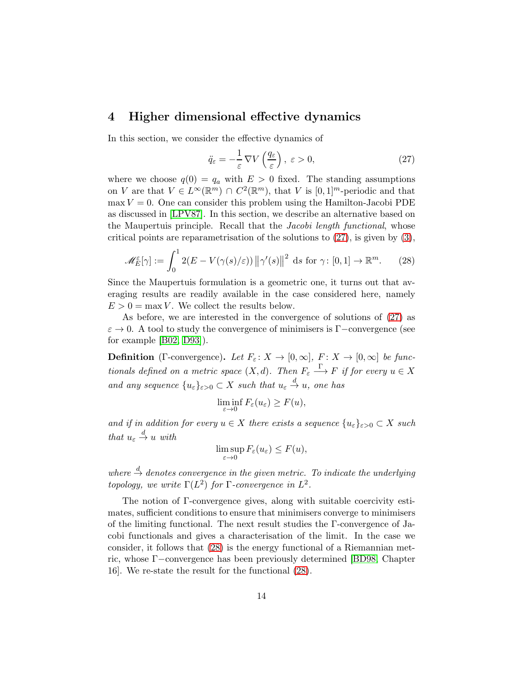## 4 Higher dimensional effective dynamics

In this section, we consider the effective dynamics of

<span id="page-13-0"></span>
$$
\ddot{q}_{\varepsilon} = -\frac{1}{\varepsilon} \,\nabla V\left(\frac{q_{\varepsilon}}{\varepsilon}\right), \, \varepsilon > 0,\tag{27}
$$

where we choose  $q(0) = q_a$  with  $E > 0$  fixed. The standing assumptions on V are that  $V \in L^{\infty}(\mathbb{R}^m) \cap C^2(\mathbb{R}^m)$ , that V is  $[0,1]^m$ -periodic and that  $\max V = 0$ . One can consider this problem using the Hamilton-Jacobi PDE as discussed in [\[LPV87\]](#page-20-0). In this section, we describe an alternative based on the Maupertuis principle. Recall that the Jacobi length functional, whose critical points are reparametrisation of the solutions to  $(27)$ , is given by  $(3)$ ,

<span id="page-13-1"></span>
$$
\mathscr{M}_E^{\varepsilon}[\gamma] := \int_0^1 2(E - V(\gamma(s)/\varepsilon)) \left\| \gamma'(s) \right\|^2 \, \mathrm{d}s \text{ for } \gamma \colon [0,1] \to \mathbb{R}^m. \tag{28}
$$

Since the Maupertuis formulation is a geometric one, it turns out that averaging results are readily available in the case considered here, namely  $E > 0 = \max V$ . We collect the results below.

As before, we are interested in the convergence of solutions of [\(27\)](#page-13-0) as  $\varepsilon \to 0$ . A tool to study the convergence of minimisers is Γ−convergence (see for example [\[B02,](#page-19-2) [D93\]](#page-20-10)).

**Definition** (Γ-convergence). Let  $F_{\varepsilon}: X \to [0, \infty], F: X \to [0, \infty]$  be functionals defined on a metric space  $(X, d)$ . Then  $F_{\varepsilon} \stackrel{\Gamma}{\longrightarrow} F$  if for every  $u \in X$ and any sequence  $\{u_{\varepsilon}\}_{{\varepsilon}>0}\subset X$  such that  $u_{\varepsilon}\stackrel{d}{\to}u$ , one has

$$
\liminf_{\varepsilon \to 0} F_{\varepsilon}(u_{\varepsilon}) \ge F(u),
$$

and if in addition for every  $u \in X$  there exists a sequence  $\{u_{\varepsilon}\}_{{\varepsilon}>0} \subset X$  such that  $u_{\varepsilon} \stackrel{d}{\rightarrow} u$  with

$$
\limsup_{\varepsilon \to 0} F_{\varepsilon}(u_{\varepsilon}) \le F(u),
$$

where  $\stackrel{d}{\rightarrow}$  denotes convergence in the given metric. To indicate the underlying topology, we write  $\Gamma(L^2)$  for  $\Gamma$ -convergence in  $L^2$ .

The notion of Γ-convergence gives, along with suitable coercivity estimates, sufficient conditions to ensure that minimisers converge to minimisers of the limiting functional. The next result studies the Γ-convergence of Jacobi functionals and gives a characterisation of the limit. In the case we consider, it follows that [\(28\)](#page-13-1) is the energy functional of a Riemannian metric, whose Γ−convergence has been previously determined [\[BD98,](#page-19-3) Chapter 16]. We re-state the result for the functional [\(28\)](#page-13-1).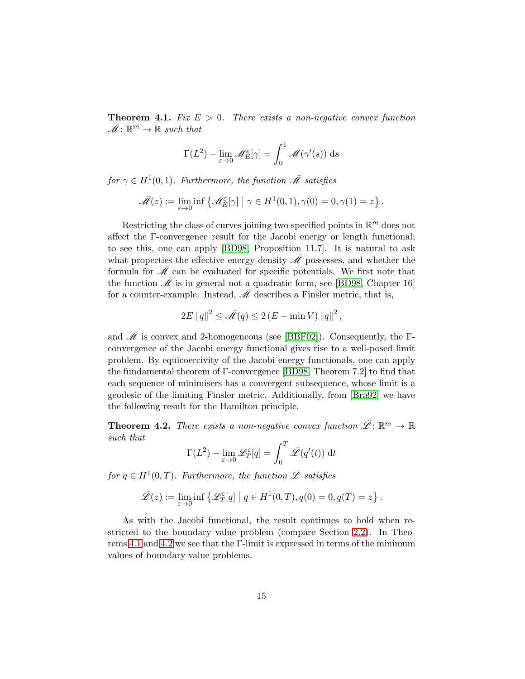<span id="page-14-0"></span>**Theorem 4.1.** Fix  $E > 0$ . There exists a non-negative convex function  $\overline{\mathscr{M}}: \mathbb{R}^m \to \mathbb{R}$  such that

$$
\Gamma(L^2) - \lim_{\varepsilon \to 0} \mathscr{M}_E^{\varepsilon}[\gamma] = \int_0^1 \bar{\mathscr{M}}(\gamma'(s)) \, ds
$$

for  $\gamma \in H^1(0,1)$ . Furthermore, the function  $\overline{\mathscr{M}}$  satisfies

$$
\overline{\mathscr{M}}(z) := \lim_{\varepsilon \to 0} \inf \left\{ \mathscr{M}_E^{\varepsilon}[\gamma] \mid \gamma \in H^1(0,1), \gamma(0) = 0, \gamma(1) = z \right\}.
$$

Restricting the class of curves joining two specified points in  $\mathbb{R}^m$  does not affect the Γ-convergence result for the Jacobi energy or length functional; to see this, one can apply [\[BD98,](#page-19-3) Proposition 11.7]. It is natural to ask what properties the effective energy density  $\overline{\mathscr{M}}$  possesses, and whether the formula for  $\overline{\mathscr{M}}$  can be evaluated for specific potentials. We first note that the function  $\overline{\mathcal{M}}$  is in general not a quadratic form, see [\[BD98,](#page-19-3) Chapter 16] for a counter-example. Instead,  $\overline{\mathscr{M}}$  describes a Finsler metric, that is,

$$
2E ||q||^2 \le \overline{\mathscr{M}}(q) \le 2(E - \min V) ||q||^2,
$$

and  $\overline{\mathcal{M}}$  is convex and 2-homogeneous (see [\[BBF02\]](#page-19-4)). Consequently, the  $\Gamma$ convergence of the Jacobi energy functional gives rise to a well-posed limit problem. By equicoercivity of the Jacobi energy functionals, one can apply the fundamental theorem of Γ-convergence [\[BD98,](#page-19-3) Theorem 7.2] to find that each sequence of minimisers has a convergent subsequence, whose limit is a geodesic of the limiting Finsler metric. Additionally, from [\[Bra92\]](#page-19-5) we have the following result for the Hamilton principle.

<span id="page-14-1"></span>**Theorem 4.2.** There exists a non-negative convex function  $\mathscr{L}: \mathbb{R}^m \to \mathbb{R}$ such that

$$
\Gamma(L^2) - \lim_{\varepsilon \to 0} \mathcal{L}_T^{\varepsilon}[q] = \int_0^T \bar{\mathcal{L}}(q'(t)) dt
$$

for  $q \in H^1(0,T)$ . Furthermore, the function  $\overline{\mathscr{L}}$  satisfies

$$
\bar{\mathscr{L}}(z) := \lim_{\varepsilon \to 0} \inf \left\{ \mathscr{L}_T^{\varepsilon}[q] \mid q \in H^1(0,T), q(0) = 0, q(T) = z \right\}.
$$

As with the Jacobi functional, the result continues to hold when restricted to the boundary value problem (compare Section [2.2\)](#page-7-3). In Theorems [4.1](#page-14-0) and [4.2](#page-14-1) we see that the Γ-limit is expressed in terms of the minimum values of boundary value problems.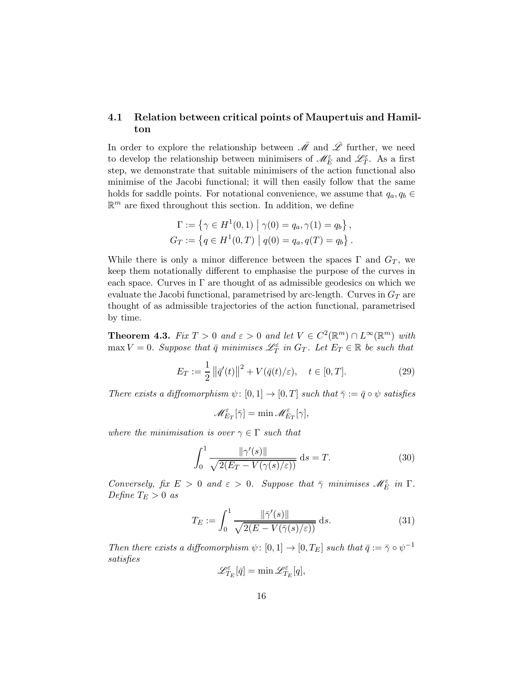#### <span id="page-15-0"></span>4.1 Relation between critical points of Maupertuis and Hamilton

In order to explore the relationship between  $\overline{\mathscr{M}}$  and  $\overline{\mathscr{L}}$  further, we need to develop the relationship between minimisers of  $\mathscr{M}_{E}^{\varepsilon}$  and  $\mathscr{L}_{T}^{\varepsilon}$ . As a first step, we demonstrate that suitable minimisers of the action functional also minimise of the Jacobi functional; it will then easily follow that the same holds for saddle points. For notational convenience, we assume that  $q_a, q_b \in$  $\mathbb{R}^m$  are fixed throughout this section. In addition, we define

$$
\Gamma := \{ \gamma \in H^1(0,1) \mid \gamma(0) = q_a, \gamma(1) = q_b \},
$$
  
\n
$$
G_T := \{ q \in H^1(0,T) \mid q(0) = q_a, q(T) = q_b \}.
$$

While there is only a minor difference between the spaces  $\Gamma$  and  $G_T$ , we keep them notationally different to emphasise the purpose of the curves in each space. Curves in  $\Gamma$  are thought of as admissible geodesics on which we evaluate the Jacobi functional, parametrised by arc-length. Curves in  $G_T$  are thought of as admissible trajectories of the action functional, parametrised by time.

<span id="page-15-3"></span>**Theorem 4.3.** Fix  $T > 0$  and  $\varepsilon > 0$  and let  $V \in C^2(\mathbb{R}^m) \cap L^{\infty}(\mathbb{R}^m)$  with  $\max V = 0$ . Suppose that  $\bar{q}$  minimises  $\mathcal{L}_T^{\varepsilon}$  in  $G_T$ . Let  $E_T \in \mathbb{R}$  be such that

<span id="page-15-1"></span>
$$
E_T := \frac{1}{2} ||\bar{q}'(t)||^2 + V(\bar{q}(t)/\varepsilon), \quad t \in [0, T].
$$
 (29)

There exists a diffeomorphism  $\psi: [0,1] \to [0,T]$  such that  $\overline{\gamma} := \overline{q} \circ \psi$  satisfies

$$
\mathscr{M}_{E_T}^\varepsilon[\bar{\gamma}] = \min \mathscr{M}_{E_T}^\varepsilon[\gamma],
$$

where the minimisation is over  $\gamma \in \Gamma$  such that

<span id="page-15-2"></span>
$$
\int_0^1 \frac{\|\gamma'(s)\|}{\sqrt{2(E_T - V(\gamma(s)/\varepsilon))}} ds = T.
$$
\n(30)

Conversely, fix  $E > 0$  and  $\varepsilon > 0$ . Suppose that  $\bar{\gamma}$  minimises  $\mathscr{M}_{E}^{\varepsilon}$  in  $\Gamma$ . Define  $T_E > 0$  as

<span id="page-15-4"></span>
$$
T_E := \int_0^1 \frac{\|\bar{\gamma}'(s)\|}{\sqrt{2(E - V(\bar{\gamma}(s)/\varepsilon))}} ds. \tag{31}
$$

Then there exists a diffeomorphism  $\psi \colon [0,1] \to [0,T_E]$  such that  $\bar{q} := \bar{\gamma} \circ \psi^{-1}$ satisfies

$$
\mathscr{L}^\varepsilon_{T_E}[\bar{q}] = \min \mathscr{L}^\varepsilon_{T_E}[q],
$$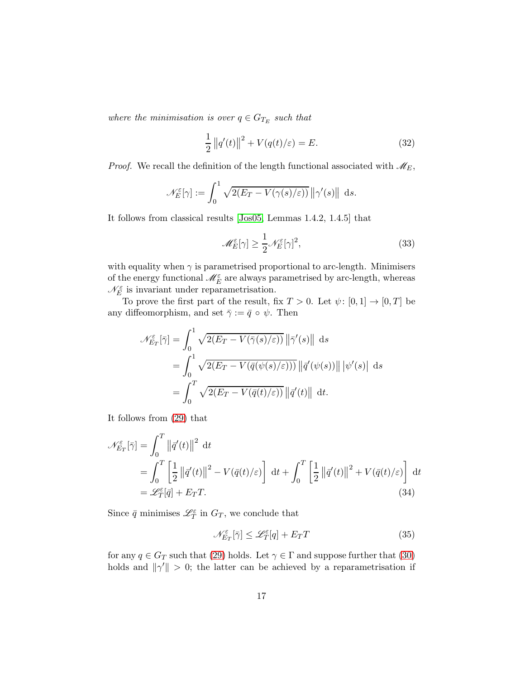where the minimisation is over  $q \in G_{T_E}$  such that

<span id="page-16-2"></span>
$$
\frac{1}{2} ||q'(t)||^2 + V(q(t)/\varepsilon) = E.
$$
 (32)

*Proof.* We recall the definition of the length functional associated with  $\mathcal{M}_E$ ,

$$
\mathscr{N}_E^{\varepsilon}[\gamma] := \int_0^1 \sqrt{2(E_T - V(\gamma(s)/\varepsilon))} \, \|\gamma'(s)\| \, \mathrm{d}s.
$$

It follows from classical results [\[Jos05,](#page-20-7) Lemmas 1.4.2, 1.4.5] that

<span id="page-16-1"></span>
$$
\mathcal{M}_E^{\varepsilon}[\gamma] \ge \frac{1}{2} \mathcal{N}_E^{\varepsilon}[\gamma]^2,\tag{33}
$$

with equality when  $\gamma$  is parametrised proportional to arc-length. Minimisers of the energy functional  $\mathscr{M}^\varepsilon_E$  are always parametrised by arc-length, whereas  $\mathscr{N}^\varepsilon_E$  is invariant under reparametrisation.

To prove the first part of the result, fix  $T > 0$ . Let  $\psi : [0, 1] \to [0, T]$  be any diffeomorphism, and set  $\bar{\gamma} := \bar{q} \circ \psi$ . Then

$$
\mathscr{N}_{E_T}^{\varepsilon}[\bar{\gamma}] = \int_0^1 \sqrt{2(E_T - V(\bar{\gamma}(s)/\varepsilon))} ||\bar{\gamma}'(s)|| \, ds
$$
  
= 
$$
\int_0^1 \sqrt{2(E_T - V(\bar{q}(\psi(s)/\varepsilon)))} ||\bar{q}'(\psi(s))|| |\psi'(s)| \, ds
$$
  
= 
$$
\int_0^T \sqrt{2(E_T - V(\bar{q}(t)/\varepsilon))} ||\bar{q}'(t)|| \, dt.
$$

It follows from [\(29\)](#page-15-1) that

$$
\mathcal{N}_{E_T}^{\varepsilon}[\bar{\gamma}] = \int_0^T \left\| \bar{q}'(t) \right\|^2 dt
$$
  
= 
$$
\int_0^T \left[ \frac{1}{2} \left\| \bar{q}'(t) \right\|^2 - V(\bar{q}(t)/\varepsilon) \right] dt + \int_0^T \left[ \frac{1}{2} \left\| \bar{q}'(t) \right\|^2 + V(\bar{q}(t)/\varepsilon) \right] dt
$$
  
= 
$$
\mathcal{L}_T^{\varepsilon}[\bar{q}] + E_T T.
$$
 (34)

Since  $\bar{q}$  minimises  $\mathscr{L}_{T}^{\varepsilon}$  in  $G_T$ , we conclude that

<span id="page-16-0"></span>
$$
\mathcal{N}_{E_T}^{\varepsilon}[\bar{\gamma}] \le \mathcal{L}_T^{\varepsilon}[q] + E_T T \tag{35}
$$

for any  $q \in G_T$  such that [\(29\)](#page-15-1) holds. Let  $\gamma \in \Gamma$  and suppose further that [\(30\)](#page-15-2) holds and  $\|\gamma'\| > 0$ ; the latter can be achieved by a reparametrisation if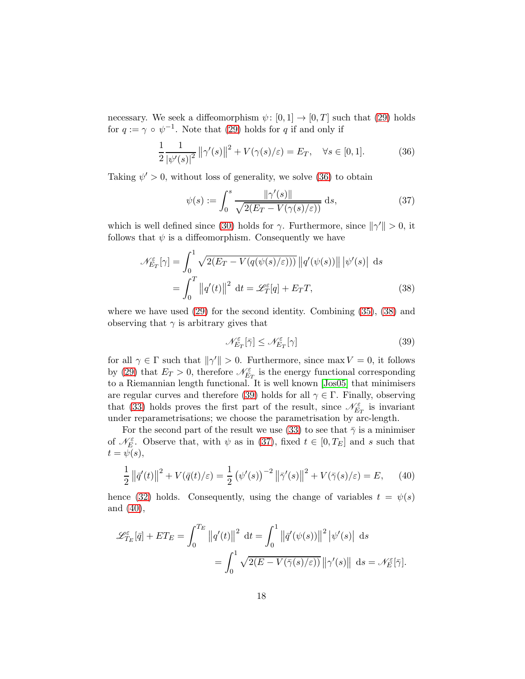necessary. We seek a diffeomorphism  $\psi: [0, 1] \to [0, T]$  such that [\(29\)](#page-15-1) holds for  $q := \gamma \circ \psi^{-1}$ . Note that [\(29\)](#page-15-1) holds for q if and only if

<span id="page-17-0"></span>
$$
\frac{1}{2} \frac{1}{|\psi'(s)|^2} ||\gamma'(s)||^2 + V(\gamma(s)/\varepsilon) = E_T, \quad \forall s \in [0, 1].
$$
 (36)

Taking  $\psi' > 0$ , without loss of generality, we solve [\(36\)](#page-17-0) to obtain

<span id="page-17-3"></span>
$$
\psi(s) := \int_0^s \frac{\|\gamma'(s)\|}{\sqrt{2(E_T - V(\gamma(s)/\varepsilon))}} ds,
$$
\n(37)

which is well defined since [\(30\)](#page-15-2) holds for  $\gamma$ . Furthermore, since  $\|\gamma'\| > 0$ , it follows that  $\psi$  is a diffeomorphism. Consequently we have

$$
\mathcal{N}_{E_T}^{\varepsilon}[\gamma] = \int_0^1 \sqrt{2(E_T - V(q(\psi(s)/\varepsilon)))} ||q'(\psi(s))|| |\psi'(s)| \, ds
$$

$$
= \int_0^T ||q'(t)||^2 \, dt = \mathcal{L}_T^{\varepsilon}[q] + E_T T,\tag{38}
$$

where we have used [\(29\)](#page-15-1) for the second identity. Combining [\(35\)](#page-16-0), [\(38\)](#page-17-1) and observing that  $\gamma$  is arbitrary gives that

<span id="page-17-4"></span><span id="page-17-2"></span><span id="page-17-1"></span>
$$
\mathcal{N}_{E_T}^{\varepsilon}[\bar{\gamma}] \le \mathcal{N}_{E_T}^{\varepsilon}[\gamma] \tag{39}
$$

for all  $\gamma \in \Gamma$  such that  $\|\gamma'\| > 0$ . Furthermore, since max  $V = 0$ , it follows by [\(29\)](#page-15-1) that  $E_T > 0$ , therefore  $\mathcal{N}_{E_T}^{\varepsilon}$  is the energy functional corresponding to a Riemannian length functional. It is well known [\[Jos05\]](#page-20-7) that minimisers are regular curves and therefore [\(39\)](#page-17-2) holds for all  $\gamma \in \Gamma$ . Finally, observing that [\(33\)](#page-16-1) holds proves the first part of the result, since  $\mathscr{N}_{E_T}^{\varepsilon}$  is invariant under reparametrisations; we choose the parametrisation by arc-length.

For the second part of the result we use [\(33\)](#page-16-1) to see that  $\bar{\gamma}$  is a minimiser of  $\mathcal{N}_{E}^{\varepsilon}$ . Observe that, with  $\psi$  as in [\(37\)](#page-17-3), fixed  $t \in [0, T_E]$  and s such that  $t = \psi(s)$ ,

$$
\frac{1}{2} \left\| \bar{q}'(t) \right\|^2 + V(\bar{q}(t)/\varepsilon) = \frac{1}{2} \left( \psi'(s) \right)^{-2} \left\| \bar{\gamma}'(s) \right\|^2 + V(\bar{\gamma}(s)/\varepsilon) = E, \quad (40)
$$

hence [\(32\)](#page-16-2) holds. Consequently, using the change of variables  $t = \psi(s)$ and [\(40\)](#page-17-4),

$$
\mathscr{L}^{\varepsilon}_{T_E}[\bar{q}] + ET_E = \int_0^{T_E} ||q'(t)||^2 dt = \int_0^1 ||\bar{q}'(\psi(s))||^2 |\psi'(s)| ds
$$
  
= 
$$
\int_0^1 \sqrt{2(E - V(\bar{\gamma}(s)/\varepsilon))} ||\gamma'(s)|| ds = \mathscr{N}_E^{\varepsilon}[\bar{\gamma}].
$$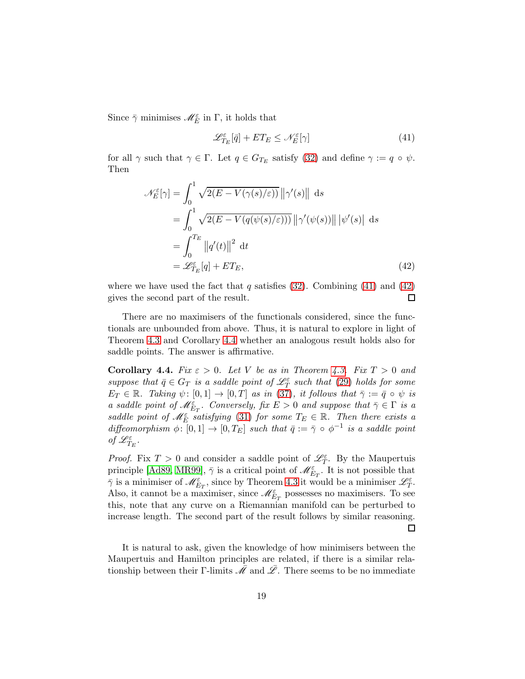Since  $\bar{\gamma}$  minimises  $\mathscr{M}^{\varepsilon}_{E}$  in  $\Gamma$ , it holds that

<span id="page-18-1"></span><span id="page-18-0"></span>
$$
\mathcal{L}_{T_E}^{\varepsilon}[\bar{q}] + ET_E \le \mathcal{N}_E^{\varepsilon}[\gamma] \tag{41}
$$

for all  $\gamma$  such that  $\gamma \in \Gamma$ . Let  $q \in G_{T_E}$  satisfy [\(32\)](#page-16-2) and define  $\gamma := q \circ \psi$ . Then

$$
\mathcal{N}_E^{\varepsilon}[\gamma] = \int_0^1 \sqrt{2(E - V(\gamma(s)/\varepsilon))} ||\gamma'(s)|| \, ds
$$
  
\n
$$
= \int_0^1 \sqrt{2(E - V(q(\psi(s)/\varepsilon)))} ||\gamma'(\psi(s))|| |\psi'(s)| \, ds
$$
  
\n
$$
= \int_0^{T_E} ||q'(t)||^2 \, dt
$$
  
\n
$$
= \mathcal{L}_{T_E}^{\varepsilon}[q] + ET_E,
$$
\n(42)

where we have used the fact that q satisfies  $(32)$ . Combining  $(41)$  and  $(42)$ gives the second part of the result.  $\Box$ 

There are no maximisers of the functionals considered, since the functionals are unbounded from above. Thus, it is natural to explore in light of Theorem [4.3](#page-15-3) and Corollary [4.4](#page-18-2) whether an analogous result holds also for saddle points. The answer is affirmative.

<span id="page-18-2"></span>**Corollary 4.4.** Fix  $\varepsilon > 0$ . Let V be as in Theorem [4.3.](#page-15-3) Fix  $T > 0$  and suppose that  $\bar{q} \in G_T$  is a saddle point of  $\mathscr{L}^{\varepsilon}_{T}$  such that [\(29\)](#page-15-1) holds for some  $E_T \in \mathbb{R}$ . Taking  $\psi: [0,1] \to [0,T]$  as in [\(37\)](#page-17-3), it follows that  $\overline{\gamma} := \overline{q} \circ \psi$  is a saddle point of  $\mathscr{M}_{E_T}^{\varepsilon}$ . Conversely, fix  $E > 0$  and suppose that  $\bar{\gamma} \in \Gamma$  is a saddle point of  $\mathscr{M}_{E}^{\varepsilon}$  satisfying [\(31\)](#page-15-4) for some  $T_E \in \mathbb{R}$ . Then there exists a diffeomorphism  $\phi: [0,1] \to [0,T_E]$  such that  $\bar{q} := \bar{\gamma} \circ \phi^{-1}$  is a saddle point of  $\mathscr{L}_{T_E}^\varepsilon$  .

*Proof.* Fix  $T > 0$  and consider a saddle point of  $\mathcal{L}_T^{\varepsilon}$ . By the Maupertuis principle [\[Ad89,](#page-19-1) [MR99\]](#page-20-6),  $\bar{\gamma}$  is a critical point of  $\mathscr{M}_{E_T}^{\varepsilon}$ . It is not possible that  $\bar{\gamma}$  is a minimiser of  $\mathscr{M}_{E_T}^{\varepsilon}$ , since by Theorem [4.3](#page-15-3) it would be a minimiser  $\mathscr{L}_T^{\varepsilon}$ . Also, it cannot be a maximiser, since  $\mathscr{M}_{E_T}^{\varepsilon}$  possesses no maximisers. To see this, note that any curve on a Riemannian manifold can be perturbed to increase length. The second part of the result follows by similar reasoning.  $\Box$ 

It is natural to ask, given the knowledge of how minimisers between the Maupertuis and Hamilton principles are related, if there is a similar relationship between their Γ-limits  $\bar{\mathcal{M}}$  and  $\bar{\mathcal{L}}$ . There seems to be no immediate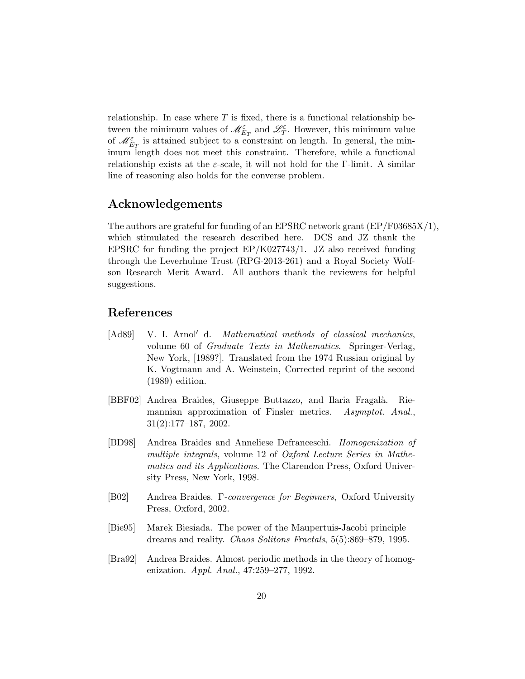relationship. In case where  $T$  is fixed, there is a functional relationship between the minimum values of  $\mathscr{M}_{E_T}^{\varepsilon}$  and  $\mathscr{L}_T^{\varepsilon}$ . However, this minimum value of  $\mathscr{M}_{E_T}^{\varepsilon}$  is attained subject to a constraint on length. In general, the minimum length does not meet this constraint. Therefore, while a functional relationship exists at the  $\varepsilon$ -scale, it will not hold for the Γ-limit. A similar line of reasoning also holds for the converse problem.

## Acknowledgements

The authors are grateful for funding of an EPSRC network grant (EP/F03685X/1), which stimulated the research described here. DCS and JZ thank the EPSRC for funding the project EP/K027743/1. JZ also received funding through the Leverhulme Trust (RPG-2013-261) and a Royal Society Wolfson Research Merit Award. All authors thank the reviewers for helpful suggestions.

## References

- <span id="page-19-1"></span>[Ad89] V. I. Arnol′ d. Mathematical methods of classical mechanics, volume 60 of Graduate Texts in Mathematics. Springer-Verlag, New York, [1989?]. Translated from the 1974 Russian original by K. Vogtmann and A. Weinstein, Corrected reprint of the second (1989) edition.
- <span id="page-19-4"></span>[BBF02] Andrea Braides, Giuseppe Buttazzo, and Ilaria Fragalà. Riemannian approximation of Finsler metrics. Asymptot. Anal., 31(2):177–187, 2002.
- <span id="page-19-3"></span>[BD98] Andrea Braides and Anneliese Defranceschi. Homogenization of multiple integrals, volume 12 of Oxford Lecture Series in Mathematics and its Applications. The Clarendon Press, Oxford University Press, New York, 1998.
- <span id="page-19-2"></span>[B02] Andrea Braides. Γ-convergence for Beginners, Oxford University Press, Oxford, 2002.
- <span id="page-19-0"></span>[Bie95] Marek Biesiada. The power of the Maupertuis-Jacobi principle dreams and reality. Chaos Solitons Fractals, 5(5):869–879, 1995.
- <span id="page-19-5"></span>[Bra92] Andrea Braides. Almost periodic methods in the theory of homogenization. Appl. Anal., 47:259–277, 1992.